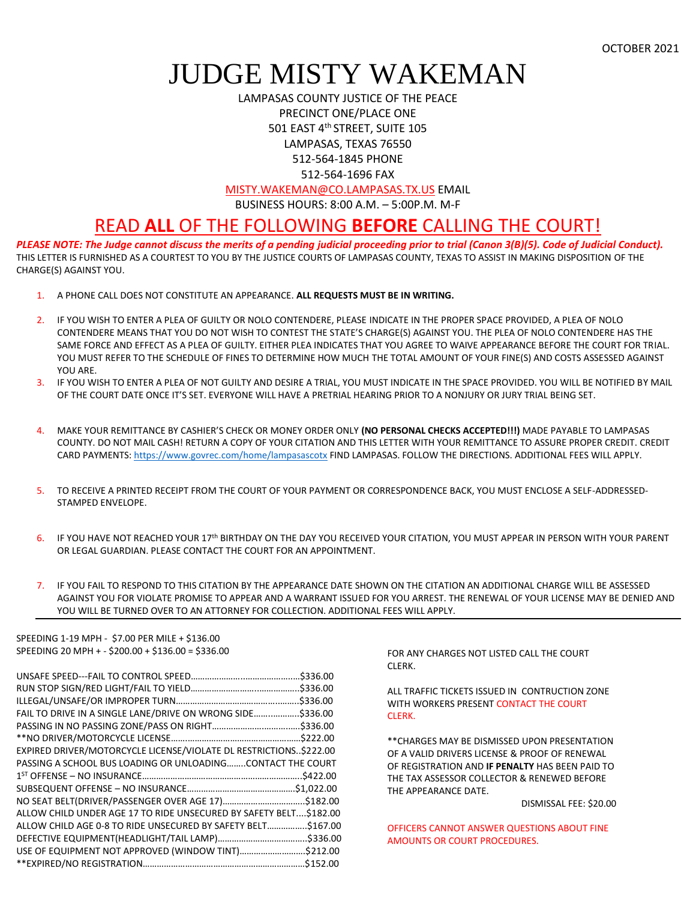OCTOBER 2021

## JUDGE MISTY WAKEMAN

LAMPASAS COUNTY JUSTICE OF THE PEACE PRECINCT ONE/PLACE ONE 501 EAST 4th STREET, SUITE 105 LAMPASAS, TEXAS 76550 512-564-1845 PHONE 512-564-1696 FAX

[MISTY.WAKEMAN@CO.LAMPASAS.TX.US](mailto:MISTY.WAKEMAN@CO.LAMPASAS.TX.US) EMAIL

BUSINESS HOURS: 8:00 A.M. – 5:00P.M. M-F

## READ **ALL** OF THE FOLLOWING **BEFORE** CALLING THE COURT!

*PLEASE NOTE: The Judge cannot discuss the merits of a pending judicial proceeding prior to trial (Canon 3(B)(5). Code of Judicial Conduct).* THIS LETTER IS FURNISHED AS A COURTEST TO YOU BY THE JUSTICE COURTS OF LAMPASAS COUNTY, TEXAS TO ASSIST IN MAKING DISPOSITION OF THE CHARGE(S) AGAINST YOU.

- 1. A PHONE CALL DOES NOT CONSTITUTE AN APPEARANCE. **ALL REQUESTS MUST BE IN WRITING.**
- 2. IF YOU WISH TO ENTER A PLEA OF GUILTY OR NOLO CONTENDERE, PLEASE INDICATE IN THE PROPER SPACE PROVIDED, A PLEA OF NOLO CONTENDERE MEANS THAT YOU DO NOT WISH TO CONTEST THE STATE'S CHARGE(S) AGAINST YOU. THE PLEA OF NOLO CONTENDERE HAS THE SAME FORCE AND EFFECT AS A PLEA OF GUILTY. EITHER PLEA INDICATES THAT YOU AGREE TO WAIVE APPEARANCE BEFORE THE COURT FOR TRIAL. YOU MUST REFER TO THE SCHEDULE OF FINES TO DETERMINE HOW MUCH THE TOTAL AMOUNT OF YOUR FINE(S) AND COSTS ASSESSED AGAINST YOU ARE.
- 3. IF YOU WISH TO ENTER A PLEA OF NOT GUILTY AND DESIRE A TRIAL, YOU MUST INDICATE IN THE SPACE PROVIDED. YOU WILL BE NOTIFIED BY MAIL OF THE COURT DATE ONCE IT'S SET. EVERYONE WILL HAVE A PRETRIAL HEARING PRIOR TO A NONJURY OR JURY TRIAL BEING SET.
- 4. MAKE YOUR REMITTANCE BY CASHIER'S CHECK OR MONEY ORDER ONLY **(NO PERSONAL CHECKS ACCEPTED!!!)** MADE PAYABLE TO LAMPASAS COUNTY. DO NOT MAIL CASH! RETURN A COPY OF YOUR CITATION AND THIS LETTER WITH YOUR REMITTANCE TO ASSURE PROPER CREDIT. CREDIT CARD PAYMENTS: <https://www.govrec.com/home/lampasascotx> FIND LAMPASAS. FOLLOW THE DIRECTIONS. ADDITIONAL FEES WILL APPLY.
- 5. TO RECEIVE A PRINTED RECEIPT FROM THE COURT OF YOUR PAYMENT OR CORRESPONDENCE BACK, YOU MUST ENCLOSE A SELF-ADDRESSED-STAMPED ENVELOPE.
- 6. IF YOU HAVE NOT REACHED YOUR 17th BIRTHDAY ON THE DAY YOU RECEIVED YOUR CITATION, YOU MUST APPEAR IN PERSON WITH YOUR PARENT OR LEGAL GUARDIAN. PLEASE CONTACT THE COURT FOR AN APPOINTMENT.
- 7. IF YOU FAIL TO RESPOND TO THIS CITATION BY THE APPEARANCE DATE SHOWN ON THE CITATION AN ADDITIONAL CHARGE WILL BE ASSESSED AGAINST YOU FOR VIOLATE PROMISE TO APPEAR AND A WARRANT ISSUED FOR YOU ARREST. THE RENEWAL OF YOUR LICENSE MAY BE DENIED AND YOU WILL BE TURNED OVER TO AN ATTORNEY FOR COLLECTION. ADDITIONAL FEES WILL APPLY.

SPEEDING 1-19 MPH - \$7.00 PER MILE + \$136.00 SPEEDING 20 MPH + - \$200.00 + \$136.00 = \$336.00

| FAIL TO DRIVE IN A SINGLE LANE/DRIVE ON WRONG SIDE\$336.00         |  |
|--------------------------------------------------------------------|--|
|                                                                    |  |
|                                                                    |  |
| EXPIRED DRIVER/MOTORCYCLE LICENSE/VIOLATE DL RESTRICTIONS\$222.00  |  |
| PASSING A SCHOOL BUS LOADING OR UNLOADINGCONTACT THE COURT         |  |
|                                                                    |  |
|                                                                    |  |
|                                                                    |  |
| ALLOW CHILD UNDER AGE 17 TO RIDE UNSECURED BY SAFETY BELT \$182.00 |  |
| ALLOW CHILD AGE 0-8 TO RIDE UNSECURED BY SAFETY BELT\$167.00       |  |
|                                                                    |  |
| USE OF EQUIPMENT NOT APPROVED (WINDOW TINT)\$212.00                |  |
|                                                                    |  |
|                                                                    |  |

FOR ANY CHARGES NOT LISTED CALL THE COURT CLERK.

ALL TRAFFIC TICKETS ISSUED IN CONTRUCTION ZONE WITH WORKERS PRESENT CONTACT THE COURT CLERK.

\*\*CHARGES MAY BE DISMISSED UPON PRESENTATION OF A VALID DRIVERS LICENSE & PROOF OF RENEWAL OF REGISTRATION AND **IF PENALTY** HAS BEEN PAID TO THE TAX ASSESSOR COLLECTOR & RENEWED BEFORE THE APPEARANCE DATE.

DISMISSAL FEE: \$20.00

OFFICERS CANNOT ANSWER QUESTIONS ABOUT FINE AMOUNTS OR COURT PROCEDURES.